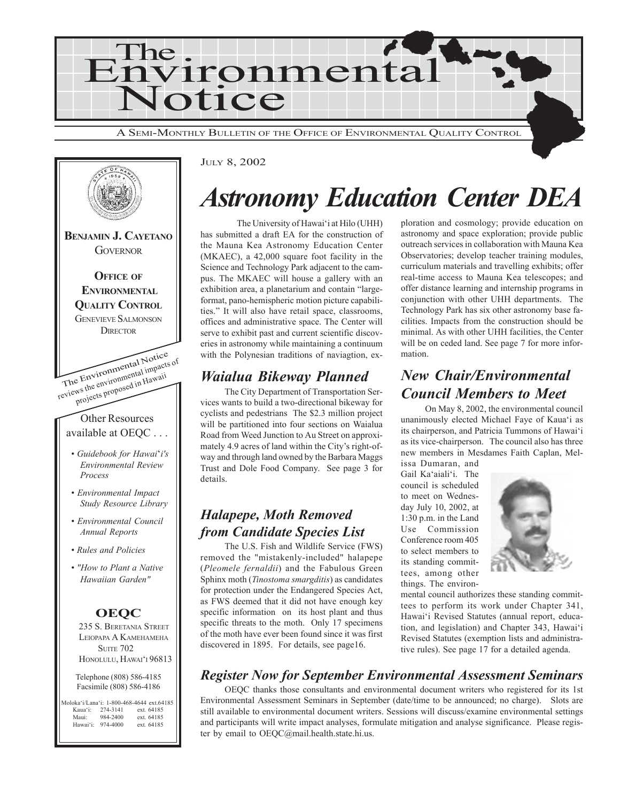



#### JULY 8, 2002

## *Astronomy Education Center DEA*

The University of Hawai'i at Hilo (UHH) has submitted a draft EA for the construction of the Mauna Kea Astronomy Education Center (MKAEC), a 42,000 square foot facility in the Science and Technology Park adjacent to the campus. The MKAEC will house a gallery with an exhibition area, a planetarium and contain "largeformat, pano-hemispheric motion picture capabilities." It will also have retail space, classrooms, offices and administrative space. The Center will serve to exhibit past and current scientific discoveries in astronomy while maintaining a continuum with the Polynesian traditions of naviagtion, ex-

### *Waialua Bikeway Planned*

The City Department of Transportation Services wants to build a two-directional bikeway for cyclists and pedestrians The \$2.3 million project will be partitioned into four sections on Waialua Road from Weed Junction to Au Street on approximately 4.9 acres of land within the City's right-ofway and through land owned by the Barbara Maggs Trust and Dole Food Company. See page 3 for details.

### *Halapepe, Moth Removed from Candidate Species List*

The U.S. Fish and Wildlife Service (FWS) removed the "mistakenly-included" halapepe (*Pleomele fernaldii*) and the Fabulous Green Sphinx moth (*Tinostoma smargditis*) as candidates for protection under the Endangered Species Act, as FWS deemed that it did not have enough key specific information on its host plant and thus specific threats to the moth. Only 17 specimens of the moth have ever been found since it was first discovered in 1895. For details, see page16.

### *Register Now for September Environmental Assessment Seminars*

OEQC thanks those consultants and environmental document writers who registered for its 1st Environmental Assessment Seminars in September (date/time to be announced; no charge). Slots are still available to environmental document writers. Sessions will discuss/examine environmental settings and participants will write impact analyses, formulate mitigation and analyse significance. Please register by email to OEQC@mail.health.state.hi.us.

ploration and cosmology; provide education on astronomy and space exploration; provide public outreach services in collaboration with Mauna Kea Observatories; develop teacher training modules, curriculum materials and travelling exhibits; offer real-time access to Mauna Kea telescopes; and offer distance learning and internship programs in conjunction with other UHH departments. The Technology Park has six other astronomy base facilities. Impacts from the construction should be minimal. As with other UHH facilities, the Center will be on ceded land. See page 7 for more information.

### *New Chair/Environmental Council Members to Meet*

On May 8, 2002, the environmental council unanimously elected Michael Faye of Kaua'i as its chairperson, and Patricia Tummons of Hawai'i as its vice-chairperson. The council also has three new members in Mesdames Faith Caplan, Melissa Dumaran, and

Gail Ka'aiali'i. The council is scheduled to meet on Wednesday July 10, 2002, at 1:30 p.m. in the Land Use Commission Conference room 405 to select members to its standing committees, among other



things. The environmental council authorizes these standing committees to perform its work under Chapter 341, Hawai'i Revised Statutes (annual report, education, and legislation) and Chapter 343, Hawai'i Revised Statutes (exemption lists and administra-

tive rules). See page 17 for a detailed agenda.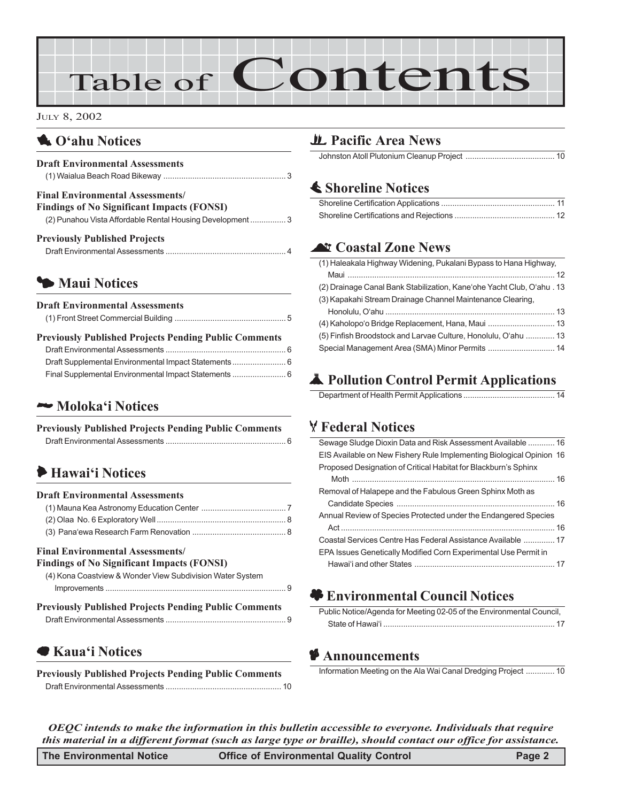# Table of Contents

#### JULY 8, 2002

### 1 **O'ahu Notices**

| <b>Draft Environmental Assessments</b> |  |
|----------------------------------------|--|
|                                        |  |

#### **Final Environmental Assessments/**

| <b>Findings of No Significant Impacts (FONSI)</b>        |  |
|----------------------------------------------------------|--|
| (2) Punahou Vista Affordable Rental Housing Development3 |  |

| <b>Previously Published Projects</b> |  |
|--------------------------------------|--|
|                                      |  |

### 3 **Maui Notices**

| <b>Draft Environmental Assessments</b>                       |  |
|--------------------------------------------------------------|--|
| <b>Previously Published Projects Pending Public Comments</b> |  |
|                                                              |  |
| Draft Supplemental Environmental Impact Statements 6         |  |

Final Supplemental Environmental Impact Statements ........................ 6

### 2 **Moloka'i Notices**

| <b>Previously Published Projects Pending Public Comments</b> |  |
|--------------------------------------------------------------|--|
|                                                              |  |

### 6 **Hawai'i Notices**

#### **Draft Environmental Assessments**

#### **Final Environmental Assessments/**

#### **Findings of No Significant Impacts (FONSI)** [\(4\) Kona Coastview & Wonder View Subdivision Water System](#page-8-0)

| <b>Previously Published Projects Pending Public Comments</b> |  |
|--------------------------------------------------------------|--|
|                                                              |  |

### 7 **Kaua'i Notices**

**Previously Published Projects Pending Public Comments** Draft Environmental Assessments [.................................................... 10](#page-9-0)

### *H* Pacific Area News

Johnston Atoll Plutonium Cleanup Project ........................................ 10

### s **Shoreline Notices**

### ^ **Coastal Zone News**

| (1) Haleakala Highway Widening, Pukalani Bypass to Hana Highway,       |  |
|------------------------------------------------------------------------|--|
|                                                                        |  |
| (2) Drainage Canal Bank Stabilization, Kane'ohe Yacht Club, O'ahu . 13 |  |
| (3) Kapakahi Stream Drainage Channel Maintenance Clearing,             |  |
|                                                                        |  |
| (4) Kaholopo'o Bridge Replacement, Hana, Maui  13                      |  |
| (5) Finfish Broodstock and Larvae Culture, Honolulu, O'ahu  13         |  |
| Special Management Area (SMA) Minor Permits  14                        |  |
|                                                                        |  |

## V **Pollution Control Permit Applications**

Department of Health Permit Applications ......................................... 14

### T **Federal Notices**

| Sewage Sludge Dioxin Data and Risk Assessment Available  16          |  |
|----------------------------------------------------------------------|--|
| EIS Available on New Fishery Rule Implementing Biological Opinion 16 |  |
| Proposed Designation of Critical Habitat for Blackburn's Sphinx      |  |
|                                                                      |  |
| Removal of Halapepe and the Fabulous Green Sphinx Moth as            |  |
|                                                                      |  |
| Annual Review of Species Protected under the Endangered Species      |  |
|                                                                      |  |
| Coastal Services Centre Has Federal Assistance Available  17         |  |
| EPA Issues Genetically Modified Corn Experimental Use Permit in      |  |
|                                                                      |  |
|                                                                      |  |

### $\bullet$  **Environmental Council Notices**

| Public Notice/Agenda for Meeting 02-05 of the Environmental Council, |  |
|----------------------------------------------------------------------|--|
|                                                                      |  |

### C **Announcements**

Information Meeting on the Ala Wai Canal Dredging Project ............. 10

*OEQC intends to make the information in this bulletin accessible to everyone. Individuals that require this material in a different format (such as large type or braille), should contact our office for assistance.*

| The Environmental Notice<br><b>Office of Environmental Quality Control</b> | Page 2 |
|----------------------------------------------------------------------------|--------|
|----------------------------------------------------------------------------|--------|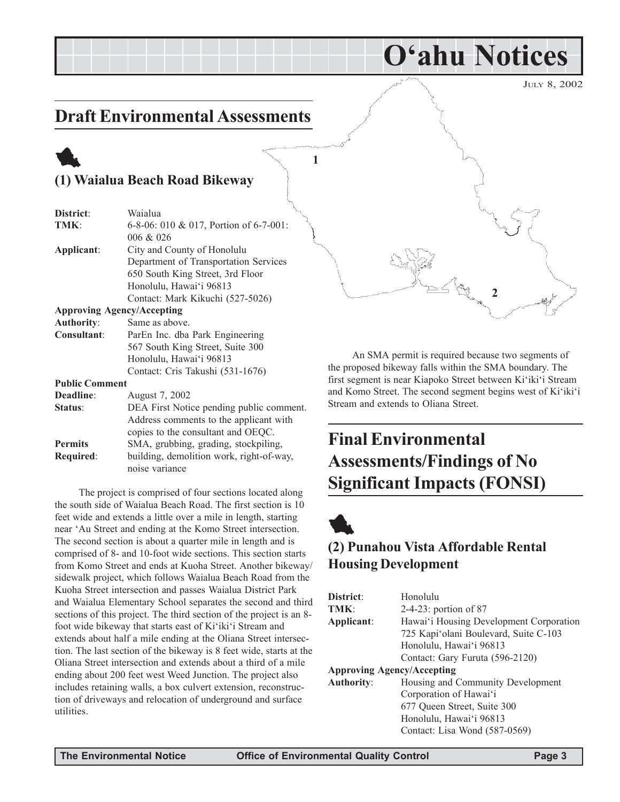JULY 8, 2002

## <span id="page-2-0"></span>**Draft Environmental Assessments**

## 1 **(1) Waialua Beach Road Bikeway**

| District:             | Waialua                                  |  |
|-----------------------|------------------------------------------|--|
| TMK:                  | 6-8-06: 010 & 017, Portion of 6-7-001:   |  |
|                       | 006 & 026                                |  |
| Applicant:            | City and County of Honolulu              |  |
|                       | Department of Transportation Services    |  |
|                       | 650 South King Street, 3rd Floor         |  |
|                       | Honolulu, Hawai'i 96813                  |  |
|                       | Contact: Mark Kikuchi (527-5026)         |  |
|                       | <b>Approving Agency/Accepting</b>        |  |
| <b>Authority:</b>     | Same as above.                           |  |
| Consultant:           | ParEn Inc. dba Park Engineering          |  |
|                       | 567 South King Street, Suite 300         |  |
|                       | Honolulu, Hawai'i 96813                  |  |
|                       | Contact: Cris Takushi (531-1676)         |  |
| <b>Public Comment</b> |                                          |  |
| Deadline:             | August 7, 2002                           |  |
| Status:               | DEA First Notice pending public comment. |  |
|                       | Address comments to the applicant with   |  |

copies to the consultant and OEQC. **Permits** SMA, grubbing, grading, stockpiling, **Required**: building, demolition work, right-of-way, noise variance

The project is comprised of four sections located along the south side of Waialua Beach Road. The first section is 10 feet wide and extends a little over a mile in length, starting near 'Au Street and ending at the Komo Street intersection. The second section is about a quarter mile in length and is comprised of 8- and 10-foot wide sections. This section starts from Komo Street and ends at Kuoha Street. Another bikeway/ sidewalk project, which follows Waialua Beach Road from the Kuoha Street intersection and passes Waialua District Park and Waialua Elementary School separates the second and third sections of this project. The third section of the project is an 8 foot wide bikeway that starts east of Ki'iki'i Stream and extends about half a mile ending at the Oliana Street intersection. The last section of the bikeway is 8 feet wide, starts at the Oliana Street intersection and extends about a third of a mile ending about 200 feet west Weed Junction. The project also includes retaining walls, a box culvert extension, reconstruction of driveways and relocation of underground and surface utilities.

**2**

**O'ahu Notices**

An SMA permit is required because two segments of the proposed bikeway falls within the SMA boundary. The first segment is near Kiapoko Street between Ki'iki'i Stream and Komo Street. The second segment begins west of Ki'iki'i Stream and extends to Oliana Street.

## **Final Environmental Assessments/Findings of No Significant Impacts (FONSI)**



**1**

### **(2) Punahou Vista Affordable Rental Housing Development**

| District:                         | Honolulu                                |  |
|-----------------------------------|-----------------------------------------|--|
| TMK:                              | 2-4-23: portion of 87                   |  |
| Applicant:                        | Hawai'i Housing Development Corporation |  |
|                                   | 725 Kapi'olani Boulevard, Suite C-103   |  |
|                                   | Honolulu, Hawai'i 96813                 |  |
|                                   | Contact: Gary Furuta (596-2120)         |  |
| <b>Approving Agency/Accepting</b> |                                         |  |
| <b>Authority:</b>                 | Housing and Community Development       |  |
|                                   | Corporation of Hawai'i                  |  |
|                                   | 677 Queen Street, Suite 300             |  |
|                                   | Honolulu, Hawai'i 96813                 |  |
|                                   | Contact: Lisa Wond (587-0569)           |  |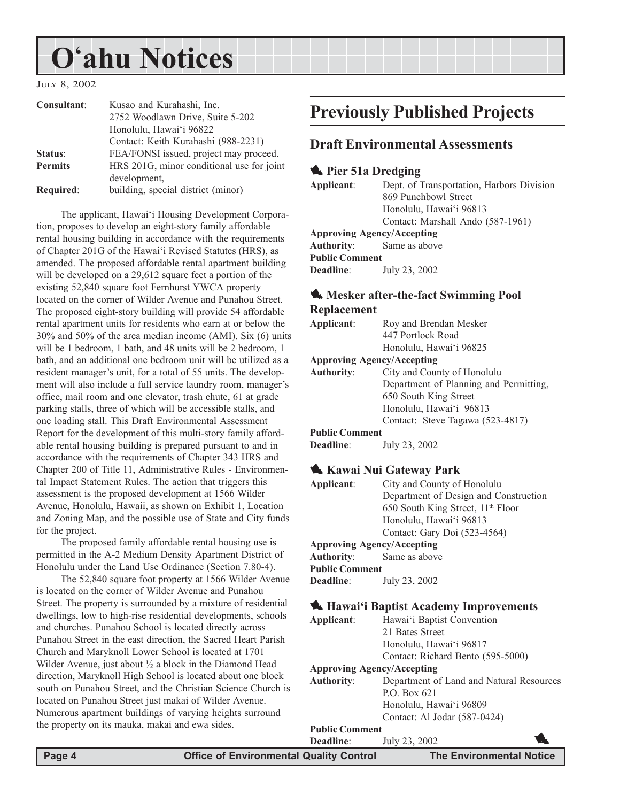## <span id="page-3-0"></span>**O'ahu Notices**

JULY 8, 2002

| Consultant:    | Kusao and Kurahashi, Inc.                 |
|----------------|-------------------------------------------|
|                | 2752 Woodlawn Drive, Suite 5-202          |
|                | Honolulu, Hawai'i 96822                   |
|                | Contact: Keith Kurahashi (988-2231)       |
| Status:        | FEA/FONSI issued, project may proceed.    |
| <b>Permits</b> | HRS 201G, minor conditional use for joint |
|                | development,                              |
| Required:      | building, special district (minor)        |

The applicant, Hawai'i Housing Development Corporation, proposes to develop an eight-story family affordable rental housing building in accordance with the requirements of Chapter 201G of the Hawai'i Revised Statutes (HRS), as amended. The proposed affordable rental apartment building will be developed on a 29,612 square feet a portion of the existing 52,840 square foot Fernhurst YWCA property located on the corner of Wilder Avenue and Punahou Street. The proposed eight-story building will provide 54 affordable rental apartment units for residents who earn at or below the 30% and 50% of the area median income (AMI). Six (6) units will be 1 bedroom, 1 bath, and 48 units will be 2 bedroom, 1 bath, and an additional one bedroom unit will be utilized as a resident manager's unit, for a total of 55 units. The development will also include a full service laundry room, manager's office, mail room and one elevator, trash chute, 61 at grade parking stalls, three of which will be accessible stalls, and one loading stall. This Draft Environmental Assessment Report for the development of this multi-story family affordable rental housing building is prepared pursuant to and in accordance with the requirements of Chapter 343 HRS and Chapter 200 of Title 11, Administrative Rules - Environmental Impact Statement Rules. The action that triggers this assessment is the proposed development at 1566 Wilder Avenue, Honolulu, Hawaii, as shown on Exhibit 1, Location and Zoning Map, and the possible use of State and City funds for the project.

The proposed family affordable rental housing use is permitted in the A-2 Medium Density Apartment District of Honolulu under the Land Use Ordinance (Section 7.80-4).

The 52,840 square foot property at 1566 Wilder Avenue is located on the corner of Wilder Avenue and Punahou Street. The property is surrounded by a mixture of residential dwellings, low to high-rise residential developments, schools and churches. Punahou School is located directly across Punahou Street in the east direction, the Sacred Heart Parish Church and Maryknoll Lower School is located at 1701 Wilder Avenue, just about  $\frac{1}{2}$  a block in the Diamond Head direction, Maryknoll High School is located about one block south on Punahou Street, and the Christian Science Church is located on Punahou Street just makai of Wilder Avenue. Numerous apartment buildings of varying heights surround the property on its mauka, makai and ewa sides.

## **Previously Published Projects**

### **Draft Environmental Assessments**

### **1** Pier 51a Dredging

**Applicant**: Dept. of Transportation, Harbors Division 869 Punchbowl Street Honolulu, Hawai'i 96813 Contact: Marshall Ando (587-1961) **Approving Agency/Accepting Authority**: Same as above **Public Comment Deadline**: July 23, 2002

### **1.** Mesker after-the-fact Swimming Pool **Replacement**

| inplacement |                                   |
|-------------|-----------------------------------|
| Applicant:  | Roy and Brendan Mesker            |
|             | 447 Portlock Road                 |
|             | Honolulu, Hawai'i 96825           |
|             | <b>Approving Agency/Accepting</b> |
| Authority:  | City and County of Honolulu       |

| uthoritv: | City and County of Honolulu            |
|-----------|----------------------------------------|
|           | Department of Planning and Permitting. |
|           | 650 South King Street                  |
|           | Honolulu, Hawai'i 96813                |
|           | Contact: Steve Tagawa (523-4817)       |
|           |                                        |

### **Public Comment**

**Deadline**: July 23, 2002

### 1 **Kawai Nui Gateway Park**

| Applicant: | City and County of Honolulu           |
|------------|---------------------------------------|
|            | Department of Design and Construction |
|            | 650 South King Street, $11th$ Floor   |
|            | Honolulu, Hawai'i 96813               |
|            | Contact: Gary Doi (523-4564)          |
|            | <b>Approving Agency/Accepting</b>     |

#### **Approving Agency/Accepting**

**Authority**: Same as above **Public Comment Deadline**: July 23, 2002

### 1 **Hawai'i Baptist Academy Improvements**

| Applicant:                        | Hawai'i Baptist Convention               |  |
|-----------------------------------|------------------------------------------|--|
|                                   | 21 Bates Street                          |  |
|                                   | Honolulu, Hawai'i 96817                  |  |
|                                   | Contact: Richard Bento (595-5000)        |  |
| <b>Approving Agency/Accepting</b> |                                          |  |
| Authority:                        | Department of Land and Natural Resources |  |
|                                   | P.O. Box 621                             |  |
|                                   | Honolulu, Hawai'i 96809                  |  |
|                                   | Contact: Al Jodar (587-0424)             |  |
| <b>Public Comment</b>             |                                          |  |
| <b>Deadline:</b>                  | July 23, 2002                            |  |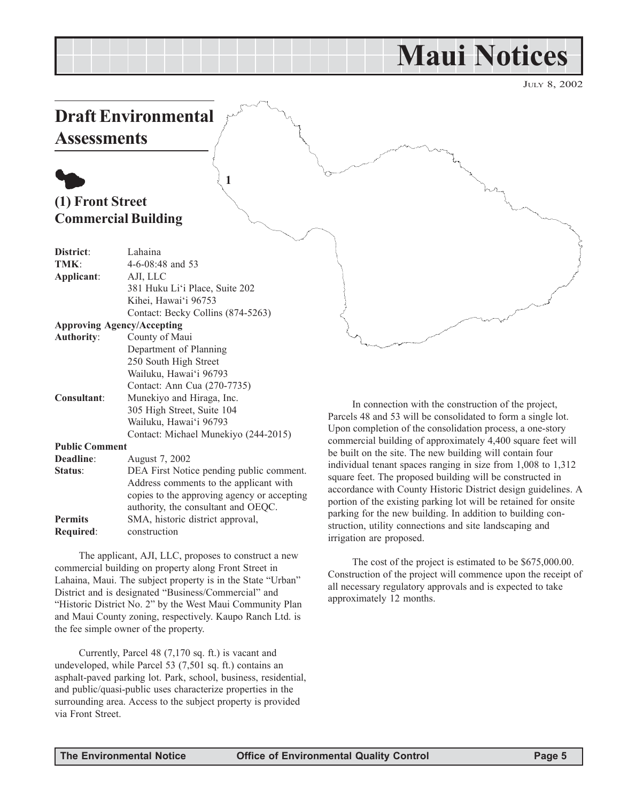## **Maui Notices**

JULY 8, 2002

## <span id="page-4-0"></span>**Draft Environmental Assessments**

## $\bullet$ **(1) Front Street Commercial Building**

| District:             | Lahaina                                  |
|-----------------------|------------------------------------------|
| TMK:                  | $4-6-08:48$ and 53                       |
| Applicant:            | AJI, LLC                                 |
|                       | 381 Huku Li'i Place, Suite 202           |
|                       | Kihei, Hawai'i 96753                     |
|                       | Contact: Becky Collins (874-5263)        |
|                       | <b>Approving Agency/Accepting</b>        |
| <b>Authority:</b>     | County of Maui                           |
|                       | Department of Planning                   |
|                       | 250 South High Street                    |
|                       | Wailuku, Hawai'i 96793                   |
|                       | Contact: Ann Cua (270-7735)              |
| <b>Consultant:</b>    | Munekiyo and Hiraga, Inc.                |
|                       | 305 High Street, Suite 104               |
|                       | Wailuku, Hawai'i 96793                   |
|                       | Contact: Michael Munekiyo (244-2015)     |
| <b>Public Comment</b> |                                          |
| Deadline:             | August 7, 2002                           |
| Status:               | DEA First Notice pending public comment. |
|                       | Address comments to the applicant with   |

**1**

copies to the approving agency or accepting authority, the consultant and OEQC. **Permits** SMA, historic district approval, **Required**: construction

The applicant, AJI, LLC, proposes to construct a new commercial building on property along Front Street in Lahaina, Maui. The subject property is in the State "Urban" District and is designated "Business/Commercial" and "Historic District No. 2" by the West Maui Community Plan and Maui County zoning, respectively. Kaupo Ranch Ltd. is the fee simple owner of the property.

Currently, Parcel 48 (7,170 sq. ft.) is vacant and undeveloped, while Parcel 53 (7,501 sq. ft.) contains an asphalt-paved parking lot. Park, school, business, residential, and public/quasi-public uses characterize properties in the surrounding area. Access to the subject property is provided via Front Street.

In connection with the construction of the project, Parcels 48 and 53 will be consolidated to form a single lot. Upon completion of the consolidation process, a one-story commercial building of approximately 4,400 square feet will be built on the site. The new building will contain four individual tenant spaces ranging in size from 1,008 to 1,312 square feet. The proposed building will be constructed in accordance with County Historic District design guidelines. A portion of the existing parking lot will be retained for onsite parking for the new building. In addition to building construction, utility connections and site landscaping and irrigation are proposed.

The cost of the project is estimated to be \$675,000.00. Construction of the project will commence upon the receipt of all necessary regulatory approvals and is expected to take approximately 12 months.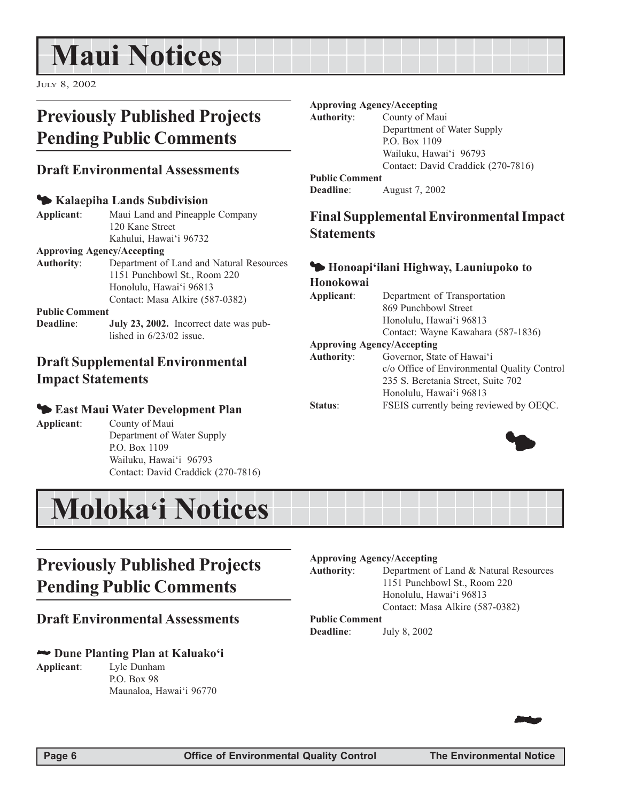## <span id="page-5-0"></span>**Maui Notices**

JULY 8, 2002

## **Previously Published Projects Pending Public Comments**

### **Draft Environmental Assessments**

### 3 **Kalaepiha Lands Subdivision**

**Applicant**: Maui Land and Pineapple Company 120 Kane Street Kahului, Hawai'i 96732

#### **Approving Agency/Accepting**

**Authority**: Department of Land and Natural Resources 1151 Punchbowl St., Room 220 Honolulu, Hawai'i 96813 Contact: Masa Alkire (587-0382)

#### **Public Comment**

**Deadline**: **July 23, 2002.** Incorrect date was published in 6/23/02 issue.

### **Draft Supplemental Environmental Impact Statements**

### 3 **East Maui Water Development Plan**

**Applicant**: County of Maui Department of Water Supply P.O. Box 1109 Wailuku, Hawai'i 96793 Contact: David Craddick (270-7816)

## **Previously Published Projects Pending Public Comments**

### **Draft Environmental Assessments**

### 2 **Dune Planting Plan at Kaluako'i**

**Applicant**: Lyle Dunham P.O. Box 98 Maunaloa, Hawai'i 96770

#### **Approving Agency/Accepting**

**Authority**: County of Maui

Departtment of Water Supply P.O. Box 1109 Wailuku, Hawai'i 96793 Contact: David Craddick (270-7816)

### **Public Comment**

**Deadline**: August 7, 2002

### **Final Supplemental Environmental Impact Statements**

### 3 **Honoapi'ilani Highway, Launiupoko to Honokowai**

#### **Applicant**: Department of Transportation 869 Punchbowl Street Honolulu, Hawai'i 96813 Contact: Wayne Kawahara (587-1836) **Approving Agency/Accepting Authority**: Governor, State of Hawai'i c/o Office of Environmental Quality Control 235 S. Beretania Street, Suite 702 Honolulu, Hawai'i 96813 **Status**: FSEIS currently being reviewed by OEQC.





#### **Approving Agency/Accepting**

**Authority**: Department of Land & Natural Resources 1151 Punchbowl St., Room 220 Honolulu, Hawai'i 96813 Contact: Masa Alkire (587-0382)

#### **Public Comment Deadline**: July 8, 2002

22 J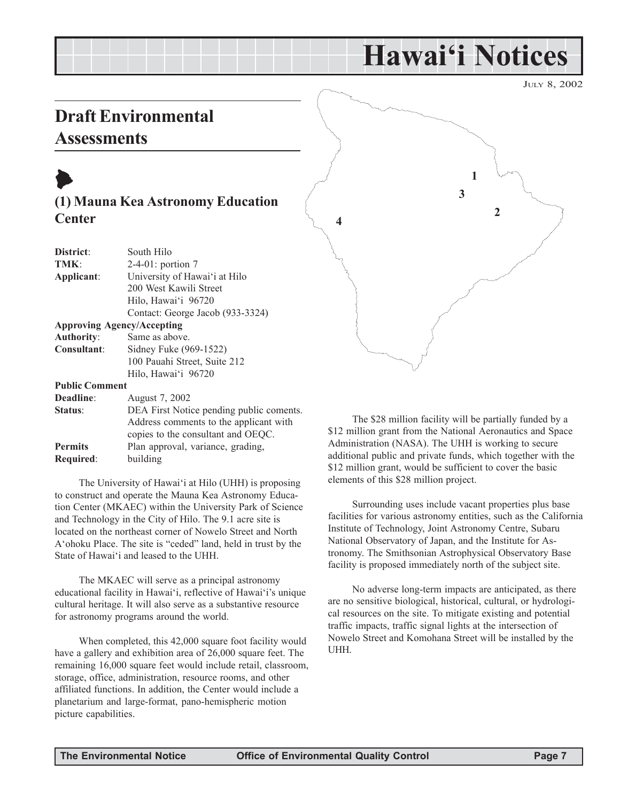## **Hawai'i Notices**

JULY 8, 2002

## <span id="page-6-0"></span>**Draft Environmental Assessments**



| District:             | South Hilo                               |
|-----------------------|------------------------------------------|
| TMK:                  | $2-4-01$ : portion 7                     |
| Applicant:            | University of Hawai'i at Hilo            |
|                       | 200 West Kawili Street                   |
|                       | Hilo, Hawai'i 96720                      |
|                       | Contact: George Jacob (933-3324)         |
|                       | <b>Approving Agency/Accepting</b>        |
| <b>Authority:</b>     | Same as above.                           |
| <b>Consultant:</b>    | Sidney Fuke (969-1522)                   |
|                       | 100 Pauahi Street, Suite 212             |
|                       | Hilo, Hawai'i 96720                      |
| <b>Public Comment</b> |                                          |
| Deadline:             | August 7, 2002                           |
| Status:               | DEA First Notice pending public coments. |
|                       | Address comments to the applicant with   |
|                       | copies to the consultant and OEQC.       |

**Permits** Plan approval, variance, grading,

**Required**: building

The University of Hawai'i at Hilo (UHH) is proposing to construct and operate the Mauna Kea Astronomy Education Center (MKAEC) within the University Park of Science and Technology in the City of Hilo. The 9.1 acre site is located on the northeast corner of Nowelo Street and North A'ohoku Place. The site is "ceded" land, held in trust by the State of Hawai'i and leased to the UHH.

The MKAEC will serve as a principal astronomy educational facility in Hawai'i, reflective of Hawai'i's unique cultural heritage. It will also serve as a substantive resource for astronomy programs around the world.

When completed, this 42,000 square foot facility would have a gallery and exhibition area of 26,000 square feet. The remaining 16,000 square feet would include retail, classroom, storage, office, administration, resource rooms, and other affiliated functions. In addition, the Center would include a planetarium and large-format, pano-hemispheric motion picture capabilities.



The \$28 million facility will be partially funded by a \$12 million grant from the National Aeronautics and Space Administration (NASA). The UHH is working to secure additional public and private funds, which together with the \$12 million grant, would be sufficient to cover the basic elements of this \$28 million project.

Surrounding uses include vacant properties plus base facilities for various astronomy entities, such as the California Institute of Technology, Joint Astronomy Centre, Subaru National Observatory of Japan, and the Institute for Astronomy. The Smithsonian Astrophysical Observatory Base facility is proposed immediately north of the subject site.

No adverse long-term impacts are anticipated, as there are no sensitive biological, historical, cultural, or hydrological resources on the site. To mitigate existing and potential traffic impacts, traffic signal lights at the intersection of Nowelo Street and Komohana Street will be installed by the UHH.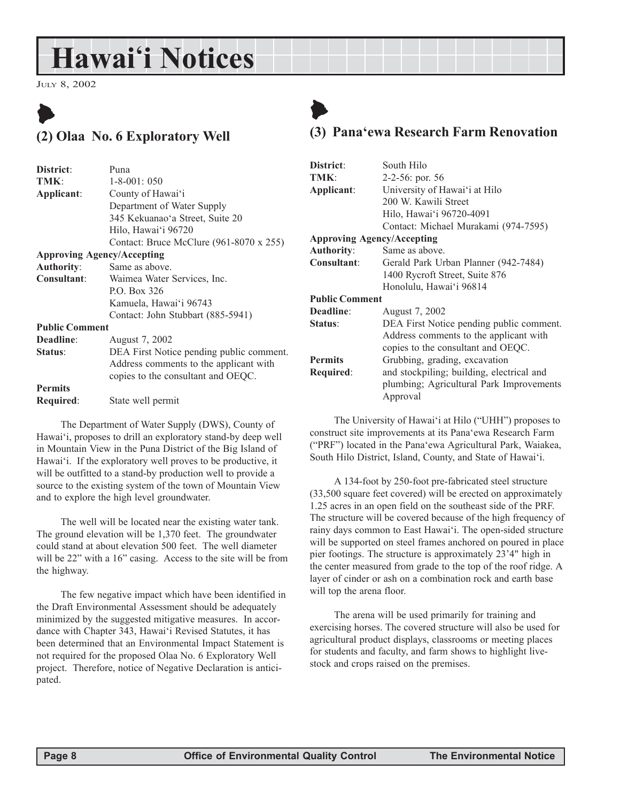## <span id="page-7-0"></span>**Hawai'i Notices**

JULY 8, 2002

## $\blacktriangleright$ **(2) Olaa No. 6 Exploratory Well**

| District:             | Puna                                           |
|-----------------------|------------------------------------------------|
| TMK:                  | $1 - 8 - 001$ : 050                            |
| Applicant:            | County of Hawai'i                              |
|                       | Department of Water Supply                     |
|                       | 345 Kekuanao'a Street, Suite 20                |
|                       | Hilo, Hawai'i 96720                            |
|                       | Contact: Bruce McClure $(961-8070 \times 255)$ |
|                       | <b>Approving Agency/Accepting</b>              |
| <b>Authority:</b>     | Same as above.                                 |
| Consultant:           | Waimea Water Services, Inc.                    |
|                       | P.O. Box 326                                   |
|                       | Kamuela, Hawai'i 96743                         |
|                       | Contact: John Stubbart (885-5941)              |
| <b>Public Comment</b> |                                                |
| Deadline:             | August 7, 2002                                 |
| Status:               | DEA First Notice pending public comment.       |
|                       | Address comments to the applicant with         |
|                       | copies to the consultant and OEQC.             |
| <b>Permits</b>        |                                                |
| Required:             | State well permit                              |
|                       |                                                |

The Department of Water Supply (DWS), County of Hawai'i, proposes to drill an exploratory stand-by deep well in Mountain View in the Puna District of the Big Island of Hawai'i. If the exploratory well proves to be productive, it will be outfitted to a stand-by production well to provide a source to the existing system of the town of Mountain View and to explore the high level groundwater.

The well will be located near the existing water tank. The ground elevation will be 1,370 feet. The groundwater could stand at about elevation 500 feet. The well diameter will be 22" with a 16" casing. Access to the site will be from the highway.

The few negative impact which have been identified in the Draft Environmental Assessment should be adequately minimized by the suggested mitigative measures. In accordance with Chapter 343, Hawai'i Revised Statutes, it has been determined that an Environmental Impact Statement is not required for the proposed Olaa No. 6 Exploratory Well project. Therefore, notice of Negative Declaration is anticipated.

## $\blacklozenge$

### **(3) Pana'ewa Research Farm Renovation**

| District:                         | South Hilo                                |  |
|-----------------------------------|-------------------------------------------|--|
| TMK:                              | $2-2-56$ : por. 56                        |  |
| Applicant:                        | University of Hawai'i at Hilo             |  |
|                                   | 200 W. Kawili Street                      |  |
|                                   | Hilo, Hawai'i 96720-4091                  |  |
|                                   | Contact: Michael Murakami (974-7595)      |  |
| <b>Approving Agency/Accepting</b> |                                           |  |
| <b>Authority:</b>                 | Same as above.                            |  |
| Consultant:                       | Gerald Park Urban Planner (942-7484)      |  |
|                                   | 1400 Rycroft Street, Suite 876            |  |
|                                   | Honolulu, Hawai'i 96814                   |  |
| <b>Public Comment</b>             |                                           |  |
| Deadline:                         | August 7, 2002                            |  |
| Status:                           | DEA First Notice pending public comment.  |  |
|                                   | Address comments to the applicant with    |  |
|                                   | copies to the consultant and OEQC.        |  |
| <b>Permits</b>                    | Grubbing, grading, excavation             |  |
| Required:                         | and stockpiling; building, electrical and |  |
|                                   | plumbing; Agricultural Park Improvements  |  |
|                                   | Approval                                  |  |

The University of Hawai'i at Hilo ("UHH") proposes to construct site improvements at its Pana'ewa Research Farm ("PRF") located in the Pana'ewa Agricultural Park, Waiakea, South Hilo District, Island, County, and State of Hawai'i.

A 134-foot by 250-foot pre-fabricated steel structure (33,500 square feet covered) will be erected on approximately 1.25 acres in an open field on the southeast side of the PRF. The structure will be covered because of the high frequency of rainy days common to East Hawai'i. The open-sided structure will be supported on steel frames anchored on poured in place pier footings. The structure is approximately 23'4" high in the center measured from grade to the top of the roof ridge. A layer of cinder or ash on a combination rock and earth base will top the arena floor.

The arena will be used primarily for training and exercising horses. The covered structure will also be used for agricultural product displays, classrooms or meeting places for students and faculty, and farm shows to highlight livestock and crops raised on the premises.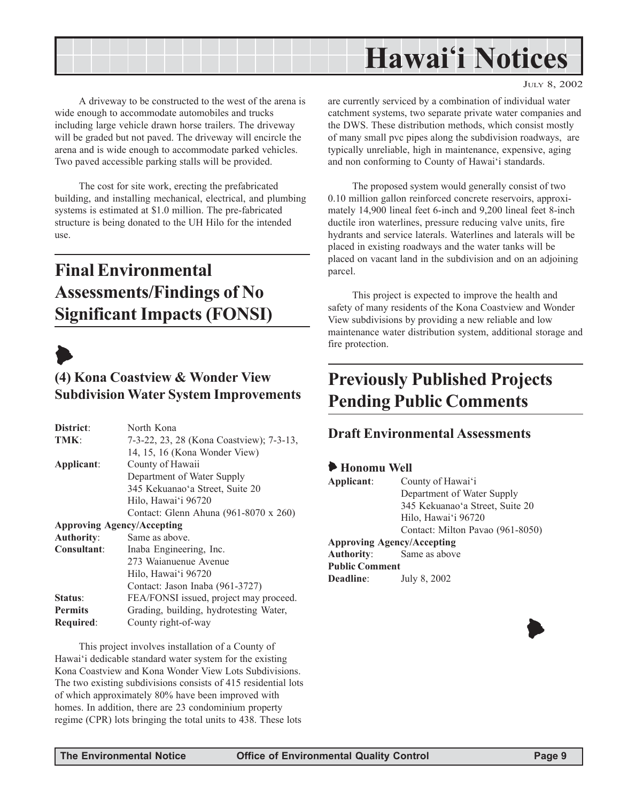<span id="page-8-0"></span>

A driveway to be constructed to the west of the arena is wide enough to accommodate automobiles and trucks including large vehicle drawn horse trailers. The driveway will be graded but not paved. The driveway will encircle the arena and is wide enough to accommodate parked vehicles. Two paved accessible parking stalls will be provided.

The cost for site work, erecting the prefabricated building, and installing mechanical, electrical, and plumbing systems is estimated at \$1.0 million. The pre-fabricated structure is being donated to the UH Hilo for the intended use.

## **Final Environmental Assessments/Findings of No Significant Impacts (FONSI)**



### **(4) Kona Coastview & Wonder View Subdivision Water System Improvements**

| District:                         | North Kona                               |
|-----------------------------------|------------------------------------------|
| TMK:                              | 7-3-22, 23, 28 (Kona Coastview); 7-3-13, |
|                                   | 14, 15, 16 (Kona Wonder View)            |
| Applicant:                        | County of Hawaii                         |
|                                   | Department of Water Supply               |
|                                   | 345 Kekuanao'a Street, Suite 20          |
|                                   | Hilo, Hawai'i 96720                      |
|                                   | Contact: Glenn Ahuna (961-8070 x 260)    |
| <b>Approving Agency/Accepting</b> |                                          |
| <b>Authority:</b>                 | Same as above.                           |
| Consultant:                       | Inaba Engineering, Inc.                  |
|                                   | 273 Waianuenue Avenue                    |
|                                   | Hilo, Hawai'i 96720                      |
|                                   | Contact: Jason Inaba (961-3727)          |
| Status:                           | FEA/FONSI issued, project may proceed.   |
| <b>Permits</b>                    | Grading, building, hydrotesting Water,   |
| Required:                         | County right-of-way                      |

This project involves installation of a County of Hawai'i dedicable standard water system for the existing Kona Coastview and Kona Wonder View Lots Subdivisions. The two existing subdivisions consists of 415 residential lots of which approximately 80% have been improved with homes. In addition, there are 23 condominium property regime (CPR) lots bringing the total units to 438. These lots

JULY 8, 2002

are currently serviced by a combination of individual water catchment systems, two separate private water companies and the DWS. These distribution methods, which consist mostly of many small pvc pipes along the subdivision roadways, are typically unreliable, high in maintenance, expensive, aging and non conforming to County of Hawai'i standards.

The proposed system would generally consist of two 0.10 million gallon reinforced concrete reservoirs, approximately 14,900 lineal feet 6-inch and 9,200 lineal feet 8-inch ductile iron waterlines, pressure reducing valve units, fire hydrants and service laterals. Waterlines and laterals will be placed in existing roadways and the water tanks will be placed on vacant land in the subdivision and on an adjoining parcel.

This project is expected to improve the health and safety of many residents of the Kona Coastview and Wonder View subdivisions by providing a new reliable and low maintenance water distribution system, additional storage and fire protection.

## **Previously Published Projects Pending Public Comments**

### **Draft Environmental Assessments**

### 6 **Honomu Well**

| Applicant:            | County of Hawai'i                 |
|-----------------------|-----------------------------------|
|                       | Department of Water Supply        |
|                       | 345 Kekuanao'a Street, Suite 20   |
|                       | Hilo, Hawai'i 96720               |
|                       | Contact: Milton Pavao (961-8050)  |
|                       | <b>Approving Agency/Accepting</b> |
|                       | <b>Authority:</b> Same as above   |
| <b>Public Comment</b> |                                   |
| Deadline:             | July 8, 2002                      |

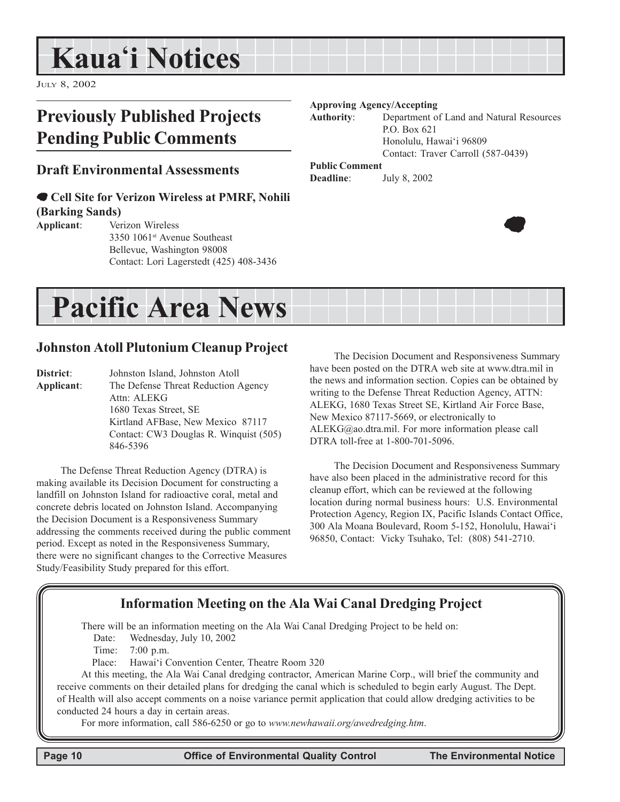## <span id="page-9-0"></span>**Kaua'i Notices**

JULY 8, 2002

## **Previously Published Projects Pending Public Comments**

### **Draft Environmental Assessments**

### 7 **Cell Site for Verizon Wireless at PMRF, Nohili (Barking Sands)**

**Applicant**: Verizon Wireless 3350 1061st Avenue Southeast Bellevue, Washington 98008 Contact: Lori Lagerstedt (425) 408-3436

#### **Approving Agency/Accepting**

**Authority**: Department of Land and Natural Resources P.O. Box 621 Honolulu, Hawai'i 96809 Contact: Traver Carroll (587-0439)

### **Public Comment**

**Deadline**: July 8, 2002



## **Pacific Area News**

### **Johnston Atoll Plutonium Cleanup Project**

**District**: Johnston Island, Johnston Atoll **Applicant**: The Defense Threat Reduction Agency Attn: ALEKG 1680 Texas Street, SE Kirtland AFBase, New Mexico 87117 Contact: CW3 Douglas R. Winquist (505) 846-5396

The Defense Threat Reduction Agency (DTRA) is making available its Decision Document for constructing a landfill on Johnston Island for radioactive coral, metal and concrete debris located on Johnston Island. Accompanying the Decision Document is a Responsiveness Summary addressing the comments received during the public comment period. Except as noted in the Responsiveness Summary, there were no significant changes to the Corrective Measures Study/Feasibility Study prepared for this effort.

The Decision Document and Responsiveness Summary have been posted on the DTRA web site at www.dtra.mil in the news and information section. Copies can be obtained by writing to the Defense Threat Reduction Agency, ATTN: ALEKG, 1680 Texas Street SE, Kirtland Air Force Base, New Mexico 87117-5669, or electronically to ALEKG@ao.dtra.mil. For more information please call DTRA toll-free at 1-800-701-5096.

The Decision Document and Responsiveness Summary have also been placed in the administrative record for this cleanup effort, which can be reviewed at the following location during normal business hours: U.S. Environmental Protection Agency, Region IX, Pacific Islands Contact Office, 300 Ala Moana Boulevard, Room 5-152, Honolulu, Hawai'i 96850, Contact: Vicky Tsuhako, Tel: (808) 541-2710.

### **Information Meeting on the Ala Wai Canal Dredging Project**

There will be an information meeting on the Ala Wai Canal Dredging Project to be held on:

Date: Wednesday, July 10, 2002

Time: 7:00 p.m.

Place: Hawai'i Convention Center, Theatre Room 320

At this meeting, the Ala Wai Canal dredging contractor, American Marine Corp., will brief the community and receive comments on their detailed plans for dredging the canal which is scheduled to begin early August. The Dept. of Health will also accept comments on a noise variance permit application that could allow dredging activities to be conducted 24 hours a day in certain areas.

For more information, call 586-6250 or go to *www.newhawaii.org/awedredging.htm*.

 **Page 10 Control Control Control Control Cuality Control Control Control Control Control Page 10 Control Control Control Control Control Control Control Control Control Control Control Control Control Control Control Cont**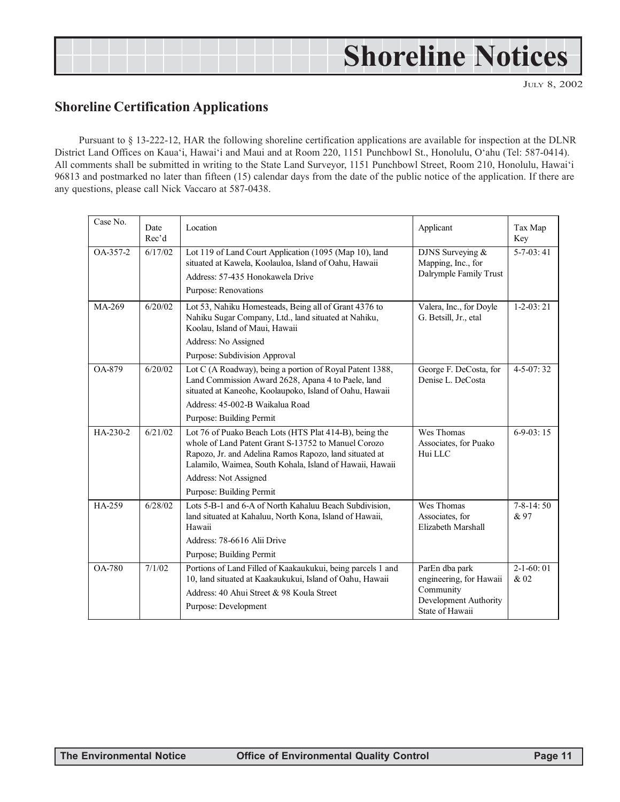## <span id="page-10-0"></span>**Shoreline Notices**

JULY 8, 2002

### **Shoreline Certification Applications**

Pursuant to § 13-222-12, HAR the following shoreline certification applications are available for inspection at the DLNR District Land Offices on Kaua'i, Hawai'i and Maui and at Room 220, 1151 Punchbowl St., Honolulu, O'ahu (Tel: 587-0414). All comments shall be submitted in writing to the State Land Surveyor, 1151 Punchbowl Street, Room 210, Honolulu, Hawai'i 96813 and postmarked no later than fifteen (15) calendar days from the date of the public notice of the application. If there are any questions, please call Nick Vaccaro at 587-0438.

| Case No.      | Date<br>Rec'd | Location                                                                                                                                                                                                                                                                                 | Applicant                                                                                          | Tax Map<br>Key          |
|---------------|---------------|------------------------------------------------------------------------------------------------------------------------------------------------------------------------------------------------------------------------------------------------------------------------------------------|----------------------------------------------------------------------------------------------------|-------------------------|
| OA-357-2      | 6/17/02       | Lot 119 of Land Court Application (1095 (Map 10), land<br>situated at Kawela, Koolauloa, Island of Oahu, Hawaii<br>Address: 57-435 Honokawela Drive<br>Purpose: Renovations                                                                                                              | DJNS Surveying &<br>Mapping, Inc., for<br>Dalrymple Family Trust                                   | $5-7-03:41$             |
| MA-269        | 6/20/02       | Lot 53, Nahiku Homesteads, Being all of Grant 4376 to<br>Nahiku Sugar Company, Ltd., land situated at Nahiku,<br>Koolau, Island of Maui, Hawaii<br>Address: No Assigned<br>Purpose: Subdivision Approval                                                                                 | Valera, Inc., for Doyle<br>G. Betsill, Jr., etal                                                   | $1 - 2 - 03:21$         |
| <b>OA-879</b> | 6/20/02       | Lot C (A Roadway), being a portion of Royal Patent 1388,<br>Land Commission Award 2628, Apana 4 to Paele, land<br>situated at Kaneohe, Koolaupoko, Island of Oahu, Hawaii<br>Address: 45-002-B Waikalua Road<br>Purpose: Building Permit                                                 | George F. DeCosta, for<br>Denise L. DeCosta                                                        | $4 - 5 - 07:32$         |
| HA-230-2      | 6/21/02       | Lot 76 of Puako Beach Lots (HTS Plat 414-B), being the<br>whole of Land Patent Grant S-13752 to Manuel Corozo<br>Rapozo, Jr. and Adelina Ramos Rapozo, land situated at<br>Lalamilo, Waimea, South Kohala, Island of Hawaii, Hawaii<br>Address: Not Assigned<br>Purpose: Building Permit | Wes Thomas<br>Associates, for Puako<br>Hui LLC                                                     | $6-9-03:15$             |
| HA-259        | 6/28/02       | Lots 5-B-1 and 6-A of North Kahaluu Beach Subdivision,<br>land situated at Kahaluu, North Kona, Island of Hawaii,<br>Hawaii<br>Address: 78-6616 Alii Drive<br>Purpose; Building Permit                                                                                                   | Wes Thomas<br>Associates, for<br>Elizabeth Marshall                                                | $7 - 8 - 14:50$<br>& 97 |
| <b>OA-780</b> | 7/1/02        | Portions of Land Filled of Kaakaukukui, being parcels 1 and<br>10, land situated at Kaakaukukui, Island of Oahu, Hawaii<br>Address: 40 Ahui Street & 98 Koula Street<br>Purpose: Development                                                                                             | ParEn dba park<br>engineering, for Hawaii<br>Community<br>Development Authority<br>State of Hawaii | $2-1-60:01$<br>& 02     |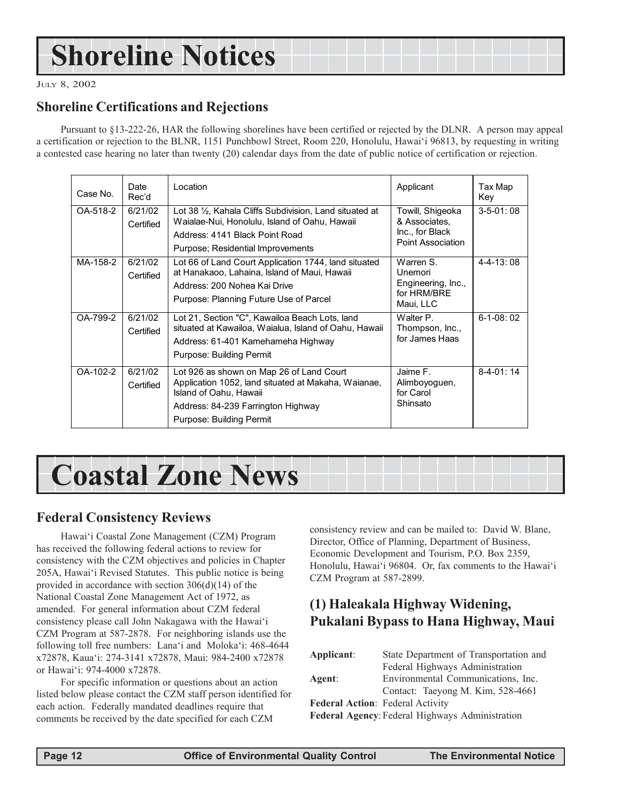## <span id="page-11-0"></span>**Shoreline Notices**

JULY 8, 2002

### **Shoreline Certifications and Rejections**

Pursuant to §13-222-26, HAR the following shorelines have been certified or rejected by the DLNR. A person may appeal a certification or rejection to the BLNR, 1151 Punchbowl Street, Room 220, Honolulu, Hawai'i 96813, by requesting in writing a contested case hearing no later than twenty (20) calendar days from the date of public notice of certification or rejection.

| Case No. | Date<br>Rec'd        | Location                                                                                                                                                                                    | Applicant                                                                 | Tax Map<br>Key    |
|----------|----------------------|---------------------------------------------------------------------------------------------------------------------------------------------------------------------------------------------|---------------------------------------------------------------------------|-------------------|
| OA-518-2 | 6/21/02<br>Certified | Lot 38 1/2, Kahala Cliffs Subdivision, Land situated at<br>Waialae-Nui, Honolulu, Island of Oahu, Hawaii<br>Address: 4141 Black Point Road<br>Purpose; Residential Improvements             | Towill, Shigeoka<br>& Associates,<br>Inc., for Black<br>Point Association | $3 - 5 - 01:08$   |
| MA-158-2 | 6/21/02<br>Certified | Lot 66 of Land Court Application 1744, land situated<br>at Hanakaoo, Lahaina, Island of Maui, Hawaii<br>Address: 200 Nohea Kai Drive<br>Purpose: Planning Future Use of Parcel              | Warren S.<br>Unemori<br>Engineering, Inc.,<br>for HRM/BRE<br>Maui, LLC    | $4 - 4 - 13$ : 08 |
| OA-799-2 | 6/21/02<br>Certified | Lot 21, Section "C", Kawailoa Beach Lots, land<br>situated at Kawailoa, Waialua, Island of Oahu, Hawaii<br>Address: 61-401 Kamehameha Highway<br>Purpose: Building Permit                   | Walter P.<br>Thompson, Inc.,<br>for James Haas                            | $6-1-08:02$       |
| OA-102-2 | 6/21/02<br>Certified | Lot 926 as shown on Map 26 of Land Court<br>Application 1052, land situated at Makaha, Waianae,<br>Island of Oahu, Hawaii<br>Address: 84-239 Farrington Highway<br>Purpose: Building Permit | Jaime F.<br>Alimboyoguen,<br>for Carol<br>Shinsato                        | $8-4-01:14$       |

## **Coastal Zone News**

### **Federal Consistency Reviews**

Hawai'i Coastal Zone Management (CZM) Program has received the following federal actions to review for consistency with the CZM objectives and policies in Chapter 205A, Hawai'i Revised Statutes. This public notice is being provided in accordance with section 306(d)(14) of the National Coastal Zone Management Act of 1972, as amended. For general information about CZM federal consistency please call John Nakagawa with the Hawai'i CZM Program at 587-2878. For neighboring islands use the following toll free numbers: Lana'i and Moloka'i: 468-4644 x72878, Kaua'i: 274-3141 x72878, Maui: 984-2400 x72878 or Hawai'i: 974-4000 x72878.

For specific information or questions about an action listed below please contact the CZM staff person identified for each action. Federally mandated deadlines require that comments be received by the date specified for each CZM

consistency review and can be mailed to: David W. Blane, Director, Office of Planning, Department of Business, Economic Development and Tourism, P.O. Box 2359, Honolulu, Hawai'i 96804. Or, fax comments to the Hawai'i CZM Program at 587-2899.

### **(1) Haleakala Highway Widening, Pukalani Bypass to Hana Highway, Maui**

| Applicant:                              | State Department of Transportation and          |  |  |
|-----------------------------------------|-------------------------------------------------|--|--|
|                                         | Federal Highways Administration                 |  |  |
| Agent:                                  | Environmental Communications, Inc.              |  |  |
|                                         | Contact: Taeyong M. Kim, 528-4661               |  |  |
| <b>Federal Action: Federal Activity</b> |                                                 |  |  |
|                                         | Federal Agency: Federal Highways Administration |  |  |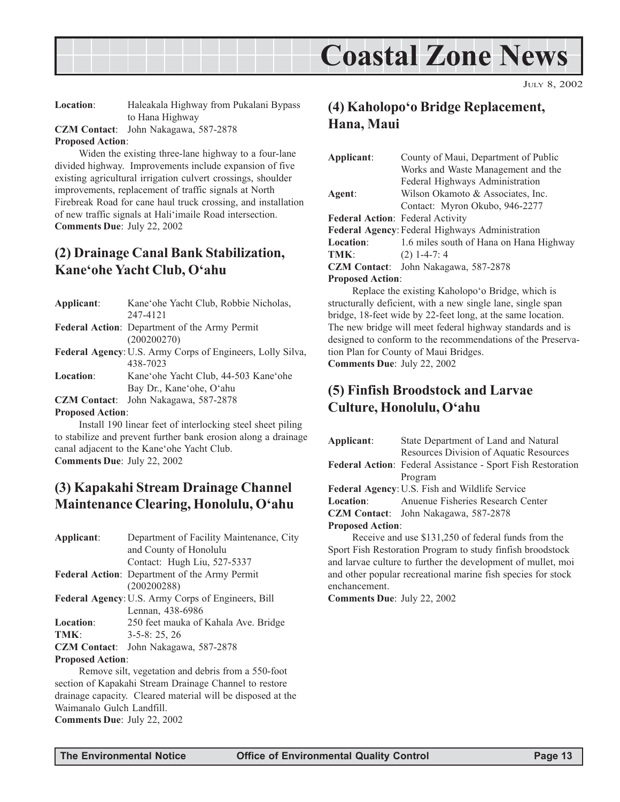<span id="page-12-0"></span>

JULY 8, 2002

**Location**: Haleakala Highway from Pukalani Bypass to Hana Highway

**CZM Contact**: John Nakagawa, 587-2878

#### **Proposed Action**:

Widen the existing three-lane highway to a four-lane divided highway. Improvements include expansion of five existing agricultural irrigation culvert crossings, shoulder improvements, replacement of traffic signals at North Firebreak Road for cane haul truck crossing, and installation of new traffic signals at Hali'imaile Road intersection. **Comments Due**: July 22, 2002

### **(2) Drainage Canal Bank Stabilization, Kane'ohe Yacht Club, O'ahu**

| Applicant: | Kane'ohe Yacht Club, Robbie Nicholas,                      |
|------------|------------------------------------------------------------|
|            | 247-4121                                                   |
|            | Federal Action: Department of the Army Permit              |
|            | (200200270)                                                |
|            | Federal Agency: U.S. Army Corps of Engineers, Lolly Silva, |
|            | 438-7023                                                   |
| Location:  | Kane'ohe Yacht Club, 44-503 Kane'ohe                       |
|            | Bay Dr., Kane'ohe, O'ahu                                   |
|            | <b>CZM Contact:</b> John Nakagawa, 587-2878                |

### **Proposed Action**:

Install 190 linear feet of interlocking steel sheet piling to stabilize and prevent further bank erosion along a drainage canal adjacent to the Kane'ohe Yacht Club. **Comments Due**: July 22, 2002

### **(3) Kapakahi Stream Drainage Channel Maintenance Clearing, Honolulu, O'ahu**

| Applicant:              | Department of Facility Maintenance, City           |
|-------------------------|----------------------------------------------------|
|                         | and County of Honolulu                             |
|                         | Contact: Hugh Liu, 527-5337                        |
|                         | Federal Action: Department of the Army Permit      |
|                         | (200200288)                                        |
|                         | Federal Agency: U.S. Army Corps of Engineers, Bill |
|                         | Lennan, 438-6986                                   |
| <b>Location:</b>        | 250 feet mauka of Kahala Ave. Bridge               |
| TMK:                    | $3-5-8:25,26$                                      |
|                         | <b>CZM Contact:</b> John Nakagawa, 587-2878        |
| <b>Proposed Action:</b> |                                                    |

Remove silt, vegetation and debris from a 550-foot section of Kapakahi Stream Drainage Channel to restore drainage capacity. Cleared material will be disposed at the Waimanalo Gulch Landfill. **Comments Due**: July 22, 2002

### **(4) Kaholopo'o Bridge Replacement, Hana, Maui**

| Applicant:              | County of Maui, Department of Public                                                          |  |  |
|-------------------------|-----------------------------------------------------------------------------------------------|--|--|
|                         | Works and Waste Management and the                                                            |  |  |
|                         | Federal Highways Administration                                                               |  |  |
| Agent:                  | Wilson Okamoto & Associates, Inc.                                                             |  |  |
|                         | Contact: Myron Okubo, 946-2277                                                                |  |  |
|                         | <b>Federal Action: Federal Activity</b>                                                       |  |  |
|                         | <b>Federal Agency: Federal Highways Administration</b>                                        |  |  |
| <b>Location:</b>        | 1.6 miles south of Hana on Hana Highway                                                       |  |  |
| TMK:                    | $(2)$ 1-4-7: 4                                                                                |  |  |
|                         | <b>CZM Contact:</b> John Nakagawa, 587-2878                                                   |  |  |
| <b>Proposed Action:</b> |                                                                                               |  |  |
|                         | $\mathbf{n}$ and $\mathbf{r}$ is the function of $\mathbf{n}$ in the function of $\mathbf{n}$ |  |  |

Replace the existing Kaholopo'o Bridge, which is structurally deficient, with a new single lane, single span bridge, 18-feet wide by 22-feet long, at the same location. The new bridge will meet federal highway standards and is designed to conform to the recommendations of the Preservation Plan for County of Maui Bridges. **Comments Due**: July 22, 2002

### **(5) Finfish Broodstock and Larvae Culture, Honolulu, O'ahu**

| Applicant:              | State Department of Land and Natural                        |
|-------------------------|-------------------------------------------------------------|
|                         | Resources Division of Aquatic Resources                     |
|                         | Federal Action: Federal Assistance - Sport Fish Restoration |
|                         | Program                                                     |
|                         | <b>Federal Agency: U.S. Fish and Wildlife Service</b>       |
|                         | <b>Location:</b> Anuenue Fisheries Research Center          |
|                         | <b>CZM Contact:</b> John Nakagawa, 587-2878                 |
| <b>Proposed Action:</b> |                                                             |
|                         | Receive and use \$131,250 of federal funds from the         |
|                         | Spent Eigh Decteration Dragman to study furties broadstool  |

Sport Fish Restoration Program to study finfish broodstock and larvae culture to further the development of mullet, moi and other popular recreational marine fish species for stock enchancement.

**Comments Due**: July 22, 2002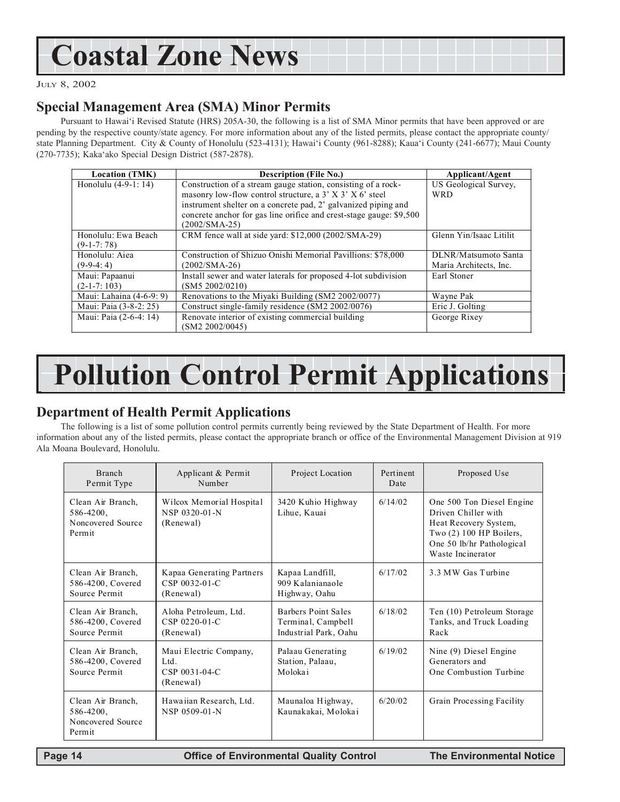## <span id="page-13-0"></span>**Coastal Zone News**

JULY 8, 2002

### **Special Management Area (SMA) Minor Permits**

Pursuant to Hawai'i Revised Statute (HRS) 205A-30, the following is a list of SMA Minor permits that have been approved or are pending by the respective county/state agency. For more information about any of the listed permits, please contact the appropriate county/ state Planning Department. City & County of Honolulu (523-4131); Hawai'i County (961-8288); Kaua'i County (241-6677); Maui County (270-7735); Kaka'ako Special Design District (587-2878).

| <b>Location (TMK)</b>    | <b>Description (File No.)</b>                                       | Applicant/Agent         |
|--------------------------|---------------------------------------------------------------------|-------------------------|
| Honolulu (4-9-1: 14)     | Construction of a stream gauge station, consisting of a rock-       | US Geological Survey,   |
|                          | masonry low-flow control structure, a 3' X 3' X 6' steel            | <b>WRD</b>              |
|                          | instrument shelter on a concrete pad, 2' galvanized piping and      |                         |
|                          | concrete anchor for gas line orifice and crest-stage gauge: \$9,500 |                         |
|                          | $(2002/SMA-25)$                                                     |                         |
| Honolulu: Ewa Beach      | CRM fence wall at side yard: \$12,000 (2002/SMA-29)                 | Glenn Yin/Isaac Litilit |
| $(9-1-7:78)$             |                                                                     |                         |
| Honolulu: Aiea           | Construction of Shizuo Onishi Memorial Pavillions: \$78,000         | DLNR/Matsumoto Santa    |
| $(9-9-4:4)$              | $(2002/SMA-26)$                                                     | Maria Architects, Inc.  |
| Maui: Papaanui           | Install sewer and water laterals for proposed 4-lot subdivision     | Earl Stoner             |
| $(2-1-7:103)$            | (SM5 2002/0210)                                                     |                         |
| Maui: Lahaina (4-6-9: 9) | Renovations to the Miyaki Building (SM2 2002/0077)                  | Wayne Pak               |
| Maui: Paia (3-8-2: 25)   | Construct single-family residence (SM2 2002/0076)                   | Eric J. Golting         |
| Maui: Paia (2-6-4: 14)   | Renovate interior of existing commercial building                   | George Rixey            |
|                          | (SM2 2002/0045)                                                     |                         |

## **Pollution Control Permit Applications**

### **Department of Health Permit Applications**

The following is a list of some pollution control permits currently being reviewed by the State Department of Health. For more information about any of the listed permits, please contact the appropriate branch or office of the Environmental Management Division at 919 Ala Moana Boulevard, Honolulu.

| <b>Branch</b><br>Permit Type                                       | Applicant & Permit<br>Number                                | Project Location                                                   | Pertinent<br>Date | Proposed Use                                                                                                                                             |
|--------------------------------------------------------------------|-------------------------------------------------------------|--------------------------------------------------------------------|-------------------|----------------------------------------------------------------------------------------------------------------------------------------------------------|
| Clean Air Branch,<br>$586 - 4200$ ,<br>Noncovered Source<br>Permit | Wilcox Memorial Hospital<br>NSP 0320-01-N<br>(Renewal)      | 3420 Kuhio Highway<br>Lihue, Kauai                                 | 6/14/02           | One 500 Ton Diesel Engine<br>Driven Chiller with<br>Heat Recovery System,<br>Two $(2)$ 100 HP Boilers,<br>One 50 lb/hr Pathological<br>Waste Incinerator |
| Clean Air Branch,<br>586-4200, Covered<br>Source Permit            | Kapaa Generating Partners<br>CSP 0032-01-C<br>(Renewal)     | Kapaa Landfill,<br>909 Kalanianaole<br>Highway, Oahu               | 6/17/02           | 3.3 MW Gas Turbine                                                                                                                                       |
| Clean Air Branch,<br>586-4200, Covered<br>Source Permit            | Aloha Petroleum, Ltd.<br>CSP 0220-01-C<br>(Renewal)         | Barbers Point Sales<br>Terminal, Campbell<br>Industrial Park, Oahu | 6/18/02           | Ten (10) Petroleum Storage<br>Tanks, and Truck Loading<br>Rack                                                                                           |
| Clean Air Branch,<br>586-4200, Covered<br>Source Permit            | Maui Electric Company,<br>Ltd<br>CSP 0031-04-C<br>(Renewal) | Palaau Generating<br>Station, Palaau,<br>Molokai                   | 6/19/02           | Nine (9) Diesel Engine<br>Generators and<br>One Combustion Turbine                                                                                       |
| Clean Air Branch,<br>$586 - 4200$ ,<br>Noncovered Source<br>Permit | Hawaiian Research, Ltd.<br>NSP 0509-01-N                    | Maunaloa Highway,<br>Kaunakakai, Molokai                           | 6/20/02           | Grain Processing Facility                                                                                                                                |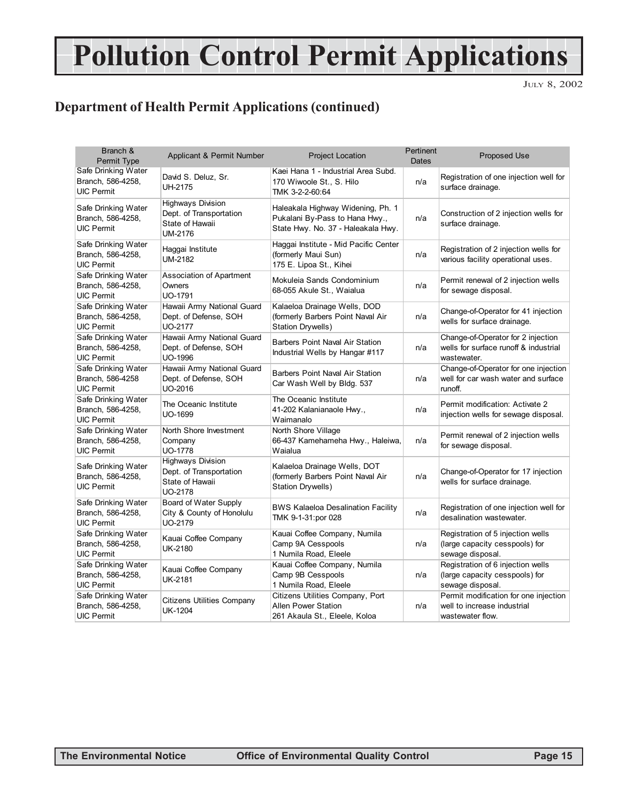## **Pollution Control Permit Applications**

JULY 8, 2002

### **Department of Health Permit Applications (continued)**

| Branch &<br>Permit Type                                       | Applicant & Permit Number                                                         | <b>Project Location</b>                                                                                   | Pertinent<br><b>Dates</b> | Proposed Use                                                                               |
|---------------------------------------------------------------|-----------------------------------------------------------------------------------|-----------------------------------------------------------------------------------------------------------|---------------------------|--------------------------------------------------------------------------------------------|
| Safe Drinking Water<br>Branch, 586-4258,<br><b>UIC Permit</b> | David S. Deluz, Sr.<br><b>UH-2175</b>                                             | Kaei Hana 1 - Industrial Area Subd.<br>170 Wiwoole St., S. Hilo<br>TMK 3-2-2-60:64                        | n/a                       | Registration of one injection well for<br>surface drainage.                                |
| Safe Drinking Water<br>Branch, 586-4258,<br><b>UIC Permit</b> | <b>Highways Division</b><br>Dept. of Transportation<br>State of Hawaii<br>UM-2176 | Haleakala Highway Widening, Ph. 1<br>Pukalani By-Pass to Hana Hwy.,<br>State Hwy. No. 37 - Haleakala Hwy. | n/a                       | Construction of 2 injection wells for<br>surface drainage.                                 |
| Safe Drinking Water<br>Branch, 586-4258,<br><b>UIC Permit</b> | Haggai Institute<br><b>UM-2182</b>                                                | Haggai Institute - Mid Pacific Center<br>(formerly Maui Sun)<br>175 E. Lipoa St., Kihei                   | n/a                       | Registration of 2 injection wells for<br>various facility operational uses.                |
| Safe Drinking Water<br>Branch, 586-4258,<br><b>UIC Permit</b> | <b>Association of Apartment</b><br>Owners<br>UO-1791                              | Mokuleia Sands Condominium<br>68-055 Akule St., Waialua                                                   | n/a                       | Permit renewal of 2 injection wells<br>for sewage disposal.                                |
| Safe Drinking Water<br>Branch, 586-4258,<br><b>UIC Permit</b> | Hawaii Army National Guard<br>Dept. of Defense, SOH<br>UO-2177                    | Kalaeloa Drainage Wells, DOD<br>(formerly Barbers Point Naval Air<br><b>Station Drywells)</b>             | n/a                       | Change-of-Operator for 41 injection<br>wells for surface drainage.                         |
| Safe Drinking Water<br>Branch, 586-4258,<br><b>UIC Permit</b> | Hawaii Army National Guard<br>Dept. of Defense, SOH<br>UO-1996                    | <b>Barbers Point Naval Air Station</b><br>Industrial Wells by Hangar #117                                 | n/a                       | Change-of-Operator for 2 injection<br>wells for surface runoff & industrial<br>wastewater. |
| Safe Drinking Water<br>Branch, 586-4258<br><b>UIC Permit</b>  | Hawaii Army National Guard<br>Dept. of Defense, SOH<br>UO-2016                    | Barbers Point Naval Air Station<br>Car Wash Well by Bldg. 537                                             | n/a                       | Change-of-Operator for one injection<br>well for car wash water and surface<br>runoff.     |
| Safe Drinking Water<br>Branch, 586-4258,<br><b>UIC Permit</b> | The Oceanic Institute<br>UO-1699                                                  | The Oceanic Institute<br>41-202 Kalanianaole Hwy.,<br>Waimanalo                                           | n/a                       | Permit modification: Activate 2<br>injection wells for sewage disposal.                    |
| Safe Drinking Water<br>Branch, 586-4258,<br><b>UIC Permit</b> | North Shore Investment<br>Company<br><b>UO-1778</b>                               | North Shore Village<br>66-437 Kamehameha Hwy., Haleiwa,<br>Waialua                                        | n/a                       | Permit renewal of 2 injection wells<br>for sewage disposal.                                |
| Safe Drinking Water<br>Branch, 586-4258,<br><b>UIC Permit</b> | <b>Highways Division</b><br>Dept. of Transportation<br>State of Hawaii<br>UO-2178 | Kalaeloa Drainage Wells, DOT<br>(formerly Barbers Point Naval Air<br>Station Drywells)                    | n/a                       | Change-of-Operator for 17 injection<br>wells for surface drainage.                         |
| Safe Drinking Water<br>Branch, 586-4258,<br><b>UIC Permit</b> | Board of Water Supply<br>City & County of Honolulu<br>UO-2179                     | <b>BWS Kalaeloa Desalination Facility</b><br>TMK 9-1-31:por 028                                           | n/a                       | Registration of one injection well for<br>desalination wastewater.                         |
| Safe Drinking Water<br>Branch, 586-4258,<br><b>UIC Permit</b> | Kauai Coffee Company<br><b>UK-2180</b>                                            | Kauai Coffee Company, Numila<br>Camp 9A Cesspools<br>1 Numila Road, Eleele                                | n/a                       | Registration of 5 injection wells<br>(large capacity cesspools) for<br>sewage disposal.    |
| Safe Drinking Water<br>Branch, 586-4258,<br><b>UIC Permit</b> | Kauai Coffee Company<br><b>UK-2181</b>                                            | Kauai Coffee Company, Numila<br>Camp 9B Cesspools<br>1 Numila Road, Eleele                                | n/a                       | Registration of 6 injection wells<br>(large capacity cesspools) for<br>sewage disposal.    |
| Safe Drinking Water<br>Branch, 586-4258,<br><b>UIC Permit</b> | <b>Citizens Utilities Company</b><br><b>UK-1204</b>                               | Citizens Utilities Company, Port<br>Allen Power Station<br>261 Akaula St., Eleele, Koloa                  | n/a                       | Permit modification for one injection<br>well to increase industrial<br>wastewater flow.   |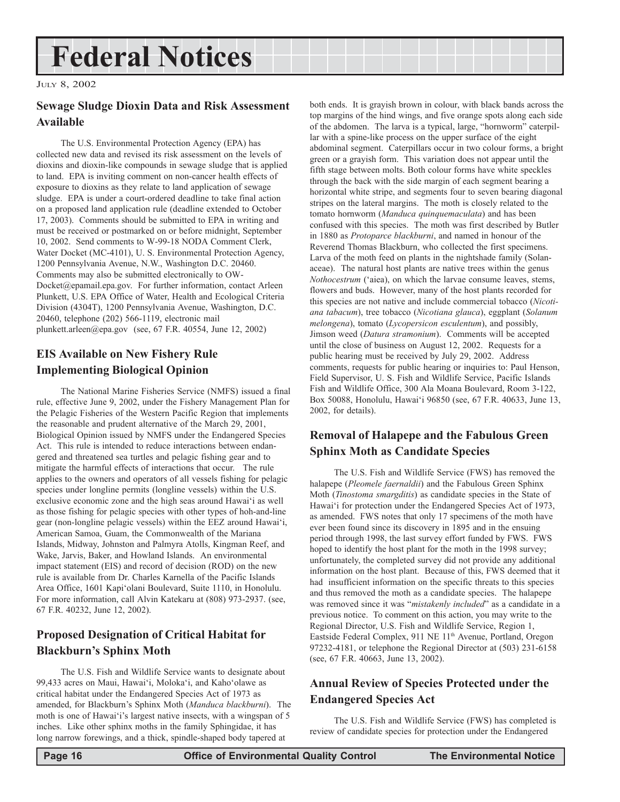## <span id="page-15-0"></span>**Federal Notices**

JULY 8, 2002

### **Sewage Sludge Dioxin Data and Risk Assessment Available**

The U.S. Environmental Protection Agency (EPA) has collected new data and revised its risk assessment on the levels of dioxins and dioxin-like compounds in sewage sludge that is applied to land. EPA is inviting comment on non-cancer health effects of exposure to dioxins as they relate to land application of sewage sludge. EPA is under a court-ordered deadline to take final action on a proposed land application rule (deadline extended to October 17, 2003). Comments should be submitted to EPA in writing and must be received or postmarked on or before midnight, September 10, 2002. Send comments to W-99-18 NODA Comment Clerk, Water Docket (MC-4101), U. S. Environmental Protection Agency, 1200 Pennsylvania Avenue, N.W., Washington D.C. 20460. Comments may also be submitted electronically to OW-Docket@epamail.epa.gov. For further information, contact Arleen Plunkett, U.S. EPA Office of Water, Health and Ecological Criteria Division (4304T), 1200 Pennsylvania Avenue, Washington, D.C. 20460, telephone (202) 566-1119, electronic mail plunkett.arleen@epa.gov (see, 67 F.R. 40554, June 12, 2002)

### **EIS Available on New Fishery Rule Implementing Biological Opinion**

The National Marine Fisheries Service (NMFS) issued a final rule, effective June 9, 2002, under the Fishery Management Plan for the Pelagic Fisheries of the Western Pacific Region that implements the reasonable and prudent alternative of the March 29, 2001, Biological Opinion issued by NMFS under the Endangered Species Act. This rule is intended to reduce interactions between endangered and threatened sea turtles and pelagic fishing gear and to mitigate the harmful effects of interactions that occur. The rule applies to the owners and operators of all vessels fishing for pelagic species under longline permits (longline vessels) within the U.S. exclusive economic zone and the high seas around Hawai'i as well as those fishing for pelagic species with other types of hoh-and-line gear (non-longline pelagic vessels) within the EEZ around Hawai'i, American Samoa, Guam, the Commonwealth of the Mariana Islands, Midway, Johnston and Palmyra Atolls, Kingman Reef, and Wake, Jarvis, Baker, and Howland Islands. An environmental impact statement (EIS) and record of decision (ROD) on the new rule is available from Dr. Charles Karnella of the Pacific Islands Area Office, 1601 Kapi'olani Boulevard, Suite 1110, in Honolulu. For more information, call Alvin Katekaru at (808) 973-2937. (see, 67 F.R. 40232, June 12, 2002).

### **Proposed Designation of Critical Habitat for Blackburn's Sphinx Moth**

The U.S. Fish and Wildlife Service wants to designate about 99,433 acres on Maui, Hawai'i, Moloka'i, and Kaho'olawe as critical habitat under the Endangered Species Act of 1973 as amended, for Blackburn's Sphinx Moth (*Manduca blackburni*). The moth is one of Hawai'i's largest native insects, with a wingspan of 5 inches. Like other sphinx moths in the family Sphingidae, it has long narrow forewings, and a thick, spindle-shaped body tapered at

both ends. It is grayish brown in colour, with black bands across the top margins of the hind wings, and five orange spots along each side of the abdomen. The larva is a typical, large, "hornworm" caterpillar with a spine-like process on the upper surface of the eight abdominal segment. Caterpillars occur in two colour forms, a bright green or a grayish form. This variation does not appear until the fifth stage between molts. Both colour forms have white speckles through the back with the side margin of each segment bearing a horizontal white stripe, and segments four to seven bearing diagonal stripes on the lateral margins. The moth is closely related to the tomato hornworm (*Manduca quinquemaculata*) and has been confused with this species. The moth was first described by Butler in 1880 as *Protoparce blackburni*, and named in honour of the Reverend Thomas Blackburn, who collected the first specimens. Larva of the moth feed on plants in the nightshade family (Solanaceae). The natural host plants are native trees within the genus *Nothocestrum* ('aiea), on which the larvae consume leaves, stems, flowers and buds. However, many of the host plants recorded for this species are not native and include commercial tobacco (*Nicotiana tabacum*), tree tobacco (*Nicotiana glauca*), eggplant (*Solanum melongena*), tomato (*Lycopersicon esculentum*), and possibly, Jimson weed (*Datura stramonium*). Comments will be accepted until the close of business on August 12, 2002. Requests for a public hearing must be received by July 29, 2002. Address comments, requests for public hearing or inquiries to: Paul Henson, Field Supervisor, U. S. Fish and Wildlife Service, Pacific Islands Fish and Wildlife Office, 300 Ala Moana Boulevard, Room 3-122, Box 50088, Honolulu, Hawai'i 96850 (see, 67 F.R. 40633, June 13, 2002, for details).

### **Removal of Halapepe and the Fabulous Green Sphinx Moth as Candidate Species**

The U.S. Fish and Wildlife Service (FWS) has removed the halapepe (*Pleomele faernaldii*) and the Fabulous Green Sphinx Moth (*Tinostoma smargditis*) as candidate species in the State of Hawai'i for protection under the Endangered Species Act of 1973, as amended. FWS notes that only 17 specimens of the moth have ever been found since its discovery in 1895 and in the ensuing period through 1998, the last survey effort funded by FWS. FWS hoped to identify the host plant for the moth in the 1998 survey; unfortunately, the completed survey did not provide any additional information on the host plant. Because of this, FWS deemed that it had insufficient information on the specific threats to this species and thus removed the moth as a candidate species. The halapepe was removed since it was "*mistakenly included*" as a candidate in a previous notice. To comment on this action, you may write to the Regional Director, U.S. Fish and Wildlife Service, Region 1, Eastside Federal Complex, 911 NE 11<sup>th</sup> Avenue, Portland, Oregon 97232-4181, or telephone the Regional Director at (503) 231-6158 (see, 67 F.R. 40663, June 13, 2002).

### **Annual Review of Species Protected under the Endangered Species Act**

The U.S. Fish and Wildlife Service (FWS) has completed is review of candidate species for protection under the Endangered